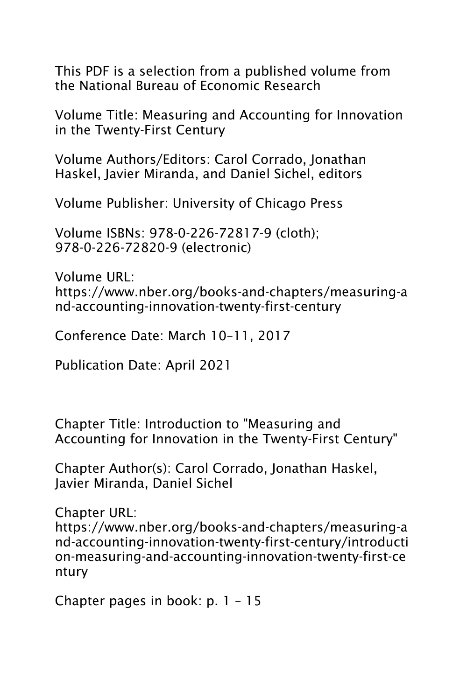This PDF is a selection from a published volume from the National Bureau of Economic Research

Volume Title: Measuring and Accounting for Innovation in the Twenty-First Century

Volume Authors/Editors: Carol Corrado, Jonathan Haskel, Javier Miranda, and Daniel Sichel, editors

Volume Publisher: University of Chicago Press

Volume ISBNs: 978-0-226-72817-9 (cloth); 978-0-226-72820-9 (electronic)

Volume URL: https://www.nber.org/books-and-chapters/measuring-a nd-accounting-innovation-twenty-first-century

Conference Date: March 10–11, 2017

Publication Date: April 2021

Chapter Title: Introduction to "Measuring and Accounting for Innovation in the Twenty-First Century"

Chapter Author(s): Carol Corrado, Jonathan Haskel, Javier Miranda, Daniel Sichel

Chapter URL:

https://www.nber.org/books-and-chapters/measuring-a nd-accounting-innovation-twenty-first-century/introducti on-measuring-and-accounting-innovation-twenty-first-ce ntury

Chapter pages in book: p. 1 – 15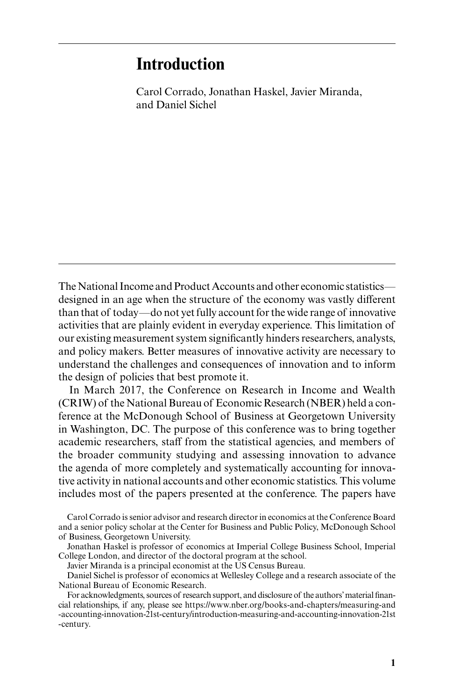# **Introduction**

Carol Corrado, Jonathan Haskel, Javier Miranda, and Daniel Sichel

The National Income and Product Accounts and other economic statistics designed in an age when the structure of the economy was vastly different than that of today—do not yet fully account for the wide range of innovative activities that are plainly evident in everyday experience. This limitation of our existing measurement system significantly hinders researchers, analysts, and policy makers. Better measures of innovative activity are necessary to understand the challenges and consequences of innovation and to inform the design of policies that best promote it.

In March 2017, the Conference on Research in Income and Wealth (CRIW) of the National Bureau of Economic Research (NBER) held a conference at the McDonough School of Business at Georgetown University in Washington, DC. The purpose of this conference was to bring together academic researchers, staff from the statistical agencies, and members of the broader community studying and assessing innovation to advance the agenda of more completely and systematically accounting for innovative activity in national accounts and other economic statistics. This volume includes most of the papers presented at the conference. The papers have

Carol Corrado is senior advisor and research director in economics at the Conference Board and a senior policy scholar at the Center for Business and Public Policy, McDonough School of Business, Georgetown University.

Jonathan Haskel is professor of economics at Imperial College Business School, Imperial College London, and director of the doctoral program at the school.

Javier Miranda is a principal economist at the US Census Bureau.

Daniel Sichel is professor of economics at Wellesley College and a research associate of the National Bureau of Economic Research.

For acknowledgments, sources of research support, and disclosure of the authors' material financial relationships, if any, please see https:// www .nber .org /books - and - chapters / measuring - and -accounting-innovation-21st-century/introduction-measuring-and-accounting-innovation-21st -century.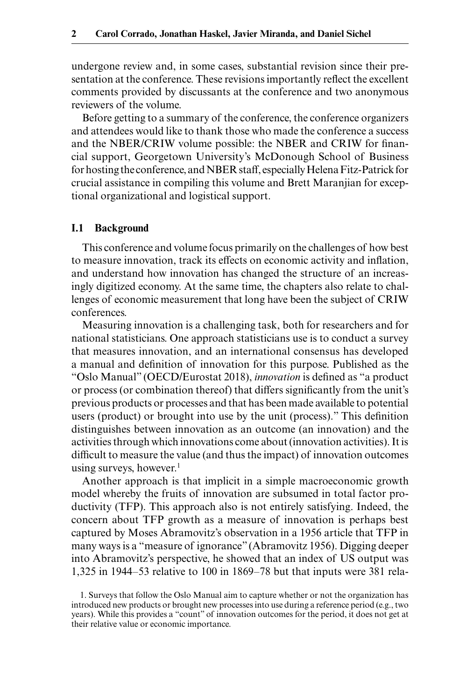undergone review and, in some cases, substantial revision since their presentation at the conference. These revisions importantly reflect the excellent comments provided by discussants at the conference and two anonymous reviewers of the volume.

Before getting to a summary of the conference, the conference organizers and attendees would like to thank those who made the conference a success and the NBER/CRIW volume possible: the NBER and CRIW for financial support, Georgetown University's McDonough School of Business for hosting the conference, and NBER staff, especially Helena Fitz- Patrick for crucial assistance in compiling this volume and Brett Maranjian for exceptional organizational and logistical support.

#### **I.1 Background**

This conference and volume focus primarily on the challenges of how best to measure innovation, track its effects on economic activity and inflation, and understand how innovation has changed the structure of an increasingly digitized economy. At the same time, the chapters also relate to challenges of economic measurement that long have been the subject of CRIW conferences.

Measuring innovation is a challenging task, both for researchers and for national statisticians. One approach statisticians use is to conduct a survey that measures innovation, and an international consensus has developed a manual and definition of innovation for this purpose. Published as the "Oslo Manual" (OECD/Eurostat 2018), *innovation* is defined as "a product or process (or combination thereof) that differs significantly from the unit's previous products or processes and that has been made available to potential users (product) or brought into use by the unit (process)." This definition distinguishes between innovation as an outcome (an innovation) and the activities through which innovations come about (innovation activities). It is difficult to measure the value (and thus the impact) of innovation outcomes using surveys, however.<sup>1</sup>

Another approach is that implicit in a simple macroeconomic growth model whereby the fruits of innovation are subsumed in total factor productivity (TFP). This approach also is not entirely satisfying. Indeed, the concern about TFP growth as a measure of innovation is perhaps best captured by Moses Abramovitz's observation in a 1956 article that TFP in many ways is a "measure of ignorance" (Abramovitz 1956). Digging deeper into Abramovitz's perspective, he showed that an index of US output was 1,325 in 1944–53 relative to 100 in 1869–78 but that inputs were 381 rela-

<sup>1.</sup> Surveys that follow the Oslo Manual aim to capture whether or not the organization has introduced new products or brought new processes into use during a reference period (e.g., two years). While this provides a "count" of innovation outcomes for the period, it does not get at their relative value or economic importance.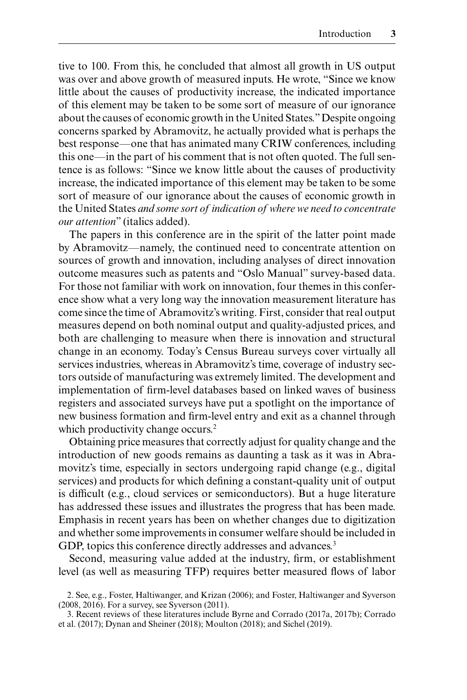tive to 100. From this, he concluded that almost all growth in US output was over and above growth of measured inputs. He wrote, "Since we know little about the causes of productivity increase, the indicated importance of this element may be taken to be some sort of measure of our ignorance about the causes of economic growth in the United States." Despite ongoing concerns sparked by Abramovitz, he actually provided what is perhaps the best response—one that has animated many CRIW conferences, including this one—in the part of his comment that is not often quoted. The full sentence is as follows: "Since we know little about the causes of productivity increase, the indicated importance of this element may be taken to be some sort of measure of our ignorance about the causes of economic growth in the United States *and some sort of indication of where we need to concentrate our attention*" (italics added).

The papers in this conference are in the spirit of the latter point made by Abramovitz—namely, the continued need to concentrate attention on sources of growth and innovation, including analyses of direct innovation outcome measures such as patents and "Oslo Manual" survey-based data. For those not familiar with work on innovation, four themes in this conference show what a very long way the innovation measurement literature has come since the time of Abramovitz's writing. First, consider that real output measures depend on both nominal output and quality- adjusted prices, and both are challenging to measure when there is innovation and structural change in an economy. Today's Census Bureau surveys cover virtually all services industries, whereas in Abramovitz's time, coverage of industry sectors outside of manufacturing was extremely limited. The development and implementation of firm- level databases based on linked waves of business registers and associated surveys have put a spotlight on the importance of new business formation and firm- level entry and exit as a channel through which productivity change occurs.<sup>2</sup>

Obtaining price measures that correctly adjust for quality change and the introduction of new goods remains as daunting a task as it was in Abramovitz's time, especially in sectors undergoing rapid change (e.g., digital services) and products for which defining a constant- quality unit of output is difficult (e.g., cloud services or semiconductors). But a huge literature has addressed these issues and illustrates the progress that has been made. Emphasis in recent years has been on whether changes due to digitization and whether some improvements in consumer welfare should be included in GDP, topics this conference directly addresses and advances.<sup>3</sup>

Second, measuring value added at the industry, firm, or establishment level (as well as measuring TFP) requires better measured flows of labor

<sup>2.</sup> See, e.g., Foster, Haltiwanger, and Krizan (2006); and Foster, Haltiwanger and Syverson (2008, 2016). For a survey, see Syverson (2011).

<sup>3.</sup> Recent reviews of these literatures include Byrne and Corrado (2017a, 2017b); Corrado et al. (2017); Dynan and Sheiner (2018); Moulton (2018); and Sichel (2019).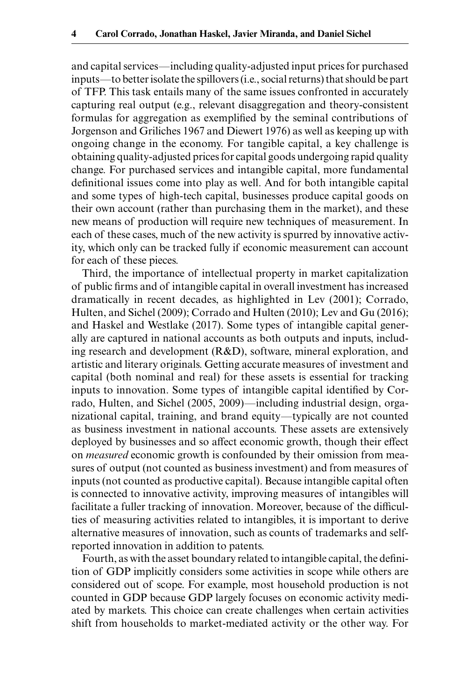and capital services—including quality- adjusted input prices for purchased inputs—to better isolate the spillovers (i.e., social returns) that should be part of TFP. This task entails many of the same issues confronted in accurately capturing real output (e.g., relevant disaggregation and theory-consistent formulas for aggregation as exemplified by the seminal contributions of Jorgenson and Griliches 1967 and Diewert 1976) as well as keeping up with ongoing change in the economy. For tangible capital, a key challenge is obtaining quality- adjusted prices for capital goods undergoing rapid quality change. For purchased services and intangible capital, more fundamental definitional issues come into play as well. And for both intangible capital and some types of high- tech capital, businesses produce capital goods on their own account (rather than purchasing them in the market), and these new means of production will require new techniques of measurement. In each of these cases, much of the new activity is spurred by innovative activity, which only can be tracked fully if economic measurement can account for each of these pieces.

Third, the importance of intellectual property in market capitalization of public firms and of intangible capital in overall investment has increased dramatically in recent decades, as highlighted in Lev (2001); Corrado, Hulten, and Sichel (2009); Corrado and Hulten (2010); Lev and Gu (2016); and Haskel and Westlake (2017). Some types of intangible capital generally are captured in national accounts as both outputs and inputs, including research and development (R&D), software, mineral exploration, and artistic and literary originals. Getting accurate measures of investment and capital (both nominal and real) for these assets is essential for tracking inputs to innovation. Some types of intangible capital identified by Corrado, Hulten, and Sichel (2005, 2009)—including industrial design, organizational capital, training, and brand equity—typically are not counted as business investment in national accounts. These assets are extensively deployed by businesses and so affect economic growth, though their effect on *measured* economic growth is confounded by their omission from measures of output (not counted as business investment) and from measures of inputs (not counted as productive capital). Because intangible capital often is connected to innovative activity, improving measures of intangibles will facilitate a fuller tracking of innovation. Moreover, because of the difficulties of measuring activities related to intangibles, it is important to derive alternative measures of innovation, such as counts of trademarks and selfreported innovation in addition to patents.

Fourth, as with the asset boundary related to intangible capital, the definition of GDP implicitly considers some activities in scope while others are considered out of scope. For example, most household production is not counted in GDP because GDP largely focuses on economic activity mediated by markets. This choice can create challenges when certain activities shift from households to market- mediated activity or the other way. For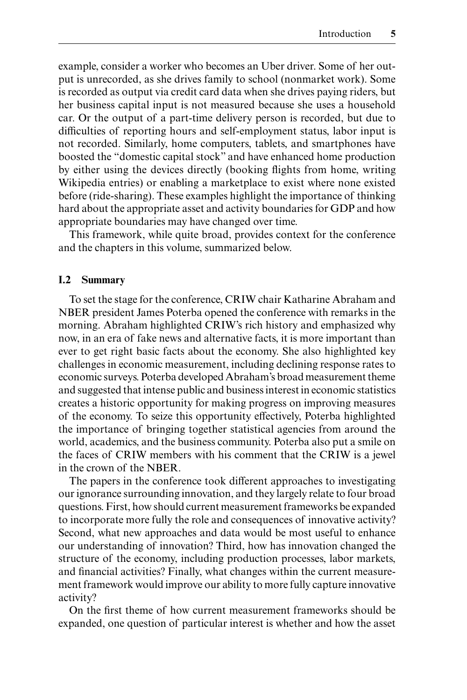example, consider a worker who becomes an Uber driver. Some of her output is unrecorded, as she drives family to school (nonmarket work). Some is recorded as output via credit card data when she drives paying riders, but her business capital input is not measured because she uses a household car. Or the output of a part- time delivery person is recorded, but due to difficulties of reporting hours and self-employment status, labor input is not recorded. Similarly, home computers, tablets, and smartphones have boosted the "domestic capital stock" and have enhanced home production by either using the devices directly (booking flights from home, writing Wikipedia entries) or enabling a marketplace to exist where none existed before (ride- sharing). These examples highlight the importance of thinking hard about the appropriate asset and activity boundaries for GDP and how appropriate boundaries may have changed over time.

This framework, while quite broad, provides context for the conference and the chapters in this volume, summarized below.

#### **I.2 Summary**

To set the stage for the conference, CRIW chair Katharine Abraham and NBER president James Poterba opened the conference with remarks in the morning. Abraham highlighted CRIW's rich history and emphasized why now, in an era of fake news and alternative facts, it is more important than ever to get right basic facts about the economy. She also highlighted key challenges in economic measurement, including declining response rates to economic surveys. Poterba developed Abraham's broad measurement theme and suggested that intense public and business interest in economic statistics creates a historic opportunity for making progress on improving measures of the economy. To seize this opportunity effectively, Poterba highlighted the importance of bringing together statistical agencies from around the world, academics, and the business community. Poterba also put a smile on the faces of CRIW members with his comment that the CRIW is a jewel in the crown of the NBER.

The papers in the conference took different approaches to investigating our ignorance surrounding innovation, and they largely relate to four broad questions. First, how should current measurement frameworks be expanded to incorporate more fully the role and consequences of innovative activity? Second, what new approaches and data would be most useful to enhance our understanding of innovation? Third, how has innovation changed the structure of the economy, including production processes, labor markets, and financial activities? Finally, what changes within the current measurement framework would improve our ability to more fully capture innovative activity?

On the first theme of how current measurement frameworks should be expanded, one question of particular interest is whether and how the asset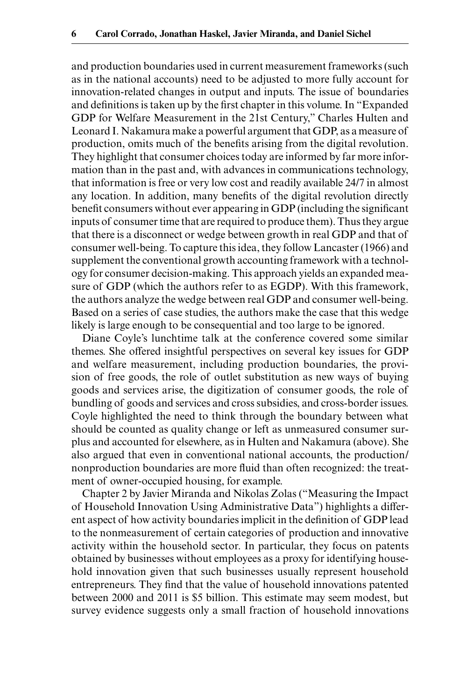and production boundaries used in current measurement frameworks (such as in the national accounts) need to be adjusted to more fully account for innovation- related changes in output and inputs. The issue of boundaries and definitions is taken up by the first chapter in this volume. In "Expanded GDP for Welfare Measurement in the 21st Century," Charles Hulten and Leonard I. Nakamura make a powerful argument that GDP, as a measure of production, omits much of the benefits arising from the digital revolution. They highlight that consumer choices today are informed by far more information than in the past and, with advances in communications technology, that information is free or very low cost and readily available 24/7 in almost any location. In addition, many benefits of the digital revolution directly benefit consumers without ever appearing in GDP (including the significant inputs of consumer time that are required to produce them). Thus they argue that there is a disconnect or wedge between growth in real GDP and that of consumer well- being. To capture this idea, they follow Lancaster (1966) and supplement the conventional growth accounting framework with a technology for consumer decision- making. This approach yields an expanded measure of GDP (which the authors refer to as EGDP). With this framework, the authors analyze the wedge between real GDP and consumer well- being. Based on a series of case studies, the authors make the case that this wedge likely is large enough to be consequential and too large to be ignored.

Diane Coyle's lunchtime talk at the conference covered some similar themes. She offered insightful perspectives on several key issues for GDP and welfare measurement, including production boundaries, the provision of free goods, the role of outlet substitution as new ways of buying goods and services arise, the digitization of consumer goods, the role of bundling of goods and services and cross subsidies, and cross- border issues. Coyle highlighted the need to think through the boundary between what should be counted as quality change or left as unmeasured consumer surplus and accounted for elsewhere, as in Hulten and Nakamura (above). She also argued that even in conventional national accounts, the production/ nonproduction boundaries are more fluid than often recognized: the treatment of owner-occupied housing, for example.

Chapter 2 by Javier Miranda and Nikolas Zolas ("Measuring the Impact of Household Innovation Using Administrative Data") highlights a different aspect of how activity boundaries implicit in the definition of GDP lead to the nonmeasurement of certain categories of production and innovative activity within the household sector. In particular, they focus on patents obtained by businesses without employees as a proxy for identifying household innovation given that such businesses usually represent household entrepreneurs. They find that the value of household innovations patented between 2000 and 2011 is \$5 billion. This estimate may seem modest, but survey evidence suggests only a small fraction of household innovations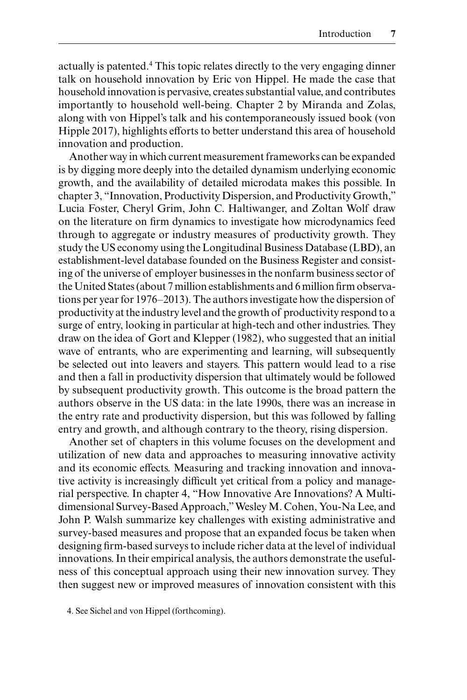actually is patented.<sup>4</sup> This topic relates directly to the very engaging dinner talk on household innovation by Eric von Hippel. He made the case that household innovation is pervasive, creates substantial value, and contributes importantly to household well- being. Chapter 2 by Miranda and Zolas, along with von Hippel's talk and his contemporaneously issued book (von Hipple 2017), highlights efforts to better understand this area of household innovation and production.

Another way in which current measurement frameworks can be expanded is by digging more deeply into the detailed dynamism underlying economic growth, and the availability of detailed microdata makes this possible. In chapter 3, "Innovation, Productivity Dispersion, and Productivity Growth," Lucia Foster, Cheryl Grim, John C. Haltiwanger, and Zoltan Wolf draw on the literature on firm dynamics to investigate how microdynamics feed through to aggregate or industry measures of productivity growth. They study the US economy using the Longitudinal Business Database (LBD), an establishment- level database founded on the Business Register and consisting of the universe of employer businesses in the nonfarm business sector of the United States (about 7 million establishments and 6 million firm observations per year for 1976–2013). The authors investigate how the dispersion of productivity at the industry level and the growth of productivity respond to a surge of entry, looking in particular at high- tech and other industries. They draw on the idea of Gort and Klepper (1982), who suggested that an initial wave of entrants, who are experimenting and learning, will subsequently be selected out into leavers and stayers. This pattern would lead to a rise and then a fall in productivity dispersion that ultimately would be followed by subsequent productivity growth. This outcome is the broad pattern the authors observe in the US data: in the late 1990s, there was an increase in the entry rate and productivity dispersion, but this was followed by falling entry and growth, and although contrary to the theory, rising dispersion.

Another set of chapters in this volume focuses on the development and utilization of new data and approaches to measuring innovative activity and its economic effects. Measuring and tracking innovation and innovative activity is increasingly difficult yet critical from a policy and managerial perspective. In chapter 4, "How Innovative Are Innovations? A Multidimensional Survey- Based Approach," Wesley M. Cohen, You- Na Lee, and John P. Walsh summarize key challenges with existing administrative and survey- based measures and propose that an expanded focus be taken when designing firm- based surveys to include richer data at the level of individual innovations. In their empirical analysis, the authors demonstrate the usefulness of this conceptual approach using their new innovation survey. They then suggest new or improved measures of innovation consistent with this

4. See Sichel and von Hippel (forthcoming).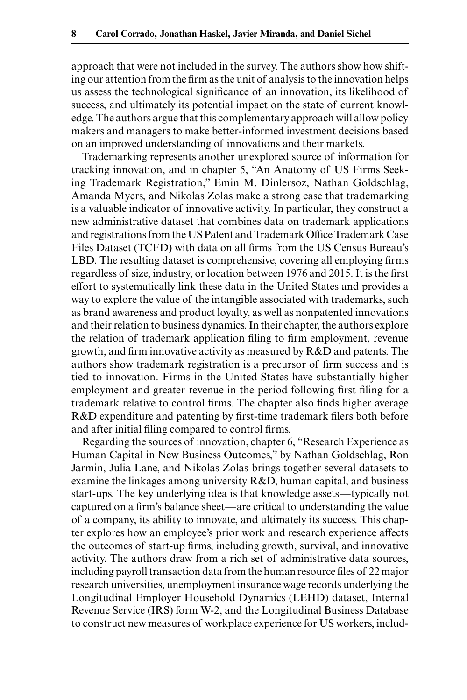approach that were not included in the survey. The authors show how shifting our attention from the firm as the unit of analysis to the innovation helps us assess the technological significance of an innovation, its likelihood of success, and ultimately its potential impact on the state of current knowledge. The authors argue that this complementary approach will allow policy makers and managers to make better- informed investment decisions based on an improved understanding of innovations and their markets.

Trademarking represents another unexplored source of information for tracking innovation, and in chapter 5, "An Anatomy of US Firms Seeking Trademark Registration," Emin M. Dinlersoz, Nathan Goldschlag, Amanda Myers, and Nikolas Zolas make a strong case that trademarking is a valuable indicator of innovative activity. In particular, they construct a new administrative dataset that combines data on trademark applications and registrations from the US Patent and Trademark Office Trademark Case Files Dataset (TCFD) with data on all firms from the US Census Bureau's LBD. The resulting dataset is comprehensive, covering all employing firms regardless of size, industry, or location between 1976 and 2015. It is the first effort to systematically link these data in the United States and provides a way to explore the value of the intangible associated with trademarks, such as brand awareness and product loyalty, as well as nonpatented innovations and their relation to business dynamics. In their chapter, the authors explore the relation of trademark application filing to firm employment, revenue growth, and firm innovative activity as measured by R&D and patents. The authors show trademark registration is a precursor of firm success and is tied to innovation. Firms in the United States have substantially higher employment and greater revenue in the period following first filing for a trademark relative to control firms. The chapter also finds higher average R&D expenditure and patenting by first-time trademark filers both before and after initial filing compared to control firms.

Regarding the sources of innovation, chapter 6, "Research Experience as Human Capital in New Business Outcomes," by Nathan Goldschlag, Ron Jarmin, Julia Lane, and Nikolas Zolas brings together several datasets to examine the linkages among university R&D, human capital, and business start- ups. The key underlying idea is that knowledge assets—typically not captured on a firm's balance sheet—are critical to understanding the value of a company, its ability to innovate, and ultimately its success. This chapter explores how an employee's prior work and research experience affects the outcomes of start- up firms, including growth, survival, and innovative activity. The authors draw from a rich set of administrative data sources, including payroll transaction data from the human resource files of 22 major research universities, unemployment insurance wage records underlying the Longitudinal Employer Household Dynamics (LEHD) dataset, Internal Revenue Service (IRS) form W-2, and the Longitudinal Business Database to construct new measures of workplace experience for US workers, includ-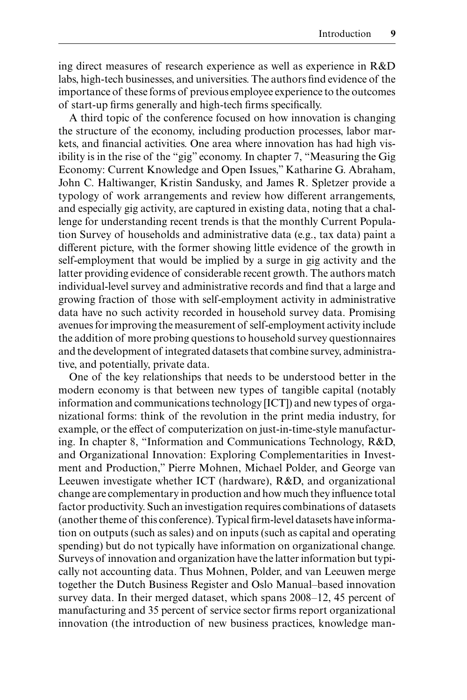ing direct measures of research experience as well as experience in R&D labs, high- tech businesses, and universities. The authors find evidence of the importance of these forms of previous employee experience to the outcomes of start- up firms generally and high- tech firms specifically.

A third topic of the conference focused on how innovation is changing the structure of the economy, including production processes, labor markets, and financial activities. One area where innovation has had high visibility is in the rise of the "gig" economy. In chapter 7, "Measuring the Gig Economy: Current Knowledge and Open Issues," Katharine G. Abraham, John C. Haltiwanger, Kristin Sandusky, and James R. Spletzer provide a typology of work arrangements and review how different arrangements, and especially gig activity, are captured in existing data, noting that a challenge for understanding recent trends is that the monthly Current Population Survey of households and administrative data (e.g., tax data) paint a different picture, with the former showing little evidence of the growth in self-employment that would be implied by a surge in gig activity and the latter providing evidence of considerable recent growth. The authors match individual-level survey and administrative records and find that a large and growing fraction of those with self-employment activity in administrative data have no such activity recorded in household survey data. Promising avenues for improving the measurement of self-employment activity include the addition of more probing questions to household survey questionnaires and the development of integrated datasets that combine survey, administrative, and potentially, private data.

One of the key relationships that needs to be understood better in the modern economy is that between new types of tangible capital (notably information and communications technology [ICT]) and new types of organizational forms: think of the revolution in the print media industry, for example, or the effect of computerization on just-in-time-style manufacturing. In chapter 8, "Information and Communications Technology, R&D, and Organizational Innovation: Exploring Complementarities in Investment and Production," Pierre Mohnen, Michael Polder, and George van Leeuwen investigate whether ICT (hardware), R&D, and organizational change are complementary in production and how much they influence total factor productivity. Such an investigation requires combinations of datasets (another theme of this conference). Typical firm- level datasets have information on outputs (such as sales) and on inputs (such as capital and operating spending) but do not typically have information on organizational change. Surveys of innovation and organization have the latter information but typically not accounting data. Thus Mohnen, Polder, and van Leeuwen merge together the Dutch Business Register and Oslo Manual–based innovation survey data. In their merged dataset, which spans 2008–12, 45 percent of manufacturing and 35 percent of service sector firms report organizational innovation (the introduction of new business practices, knowledge man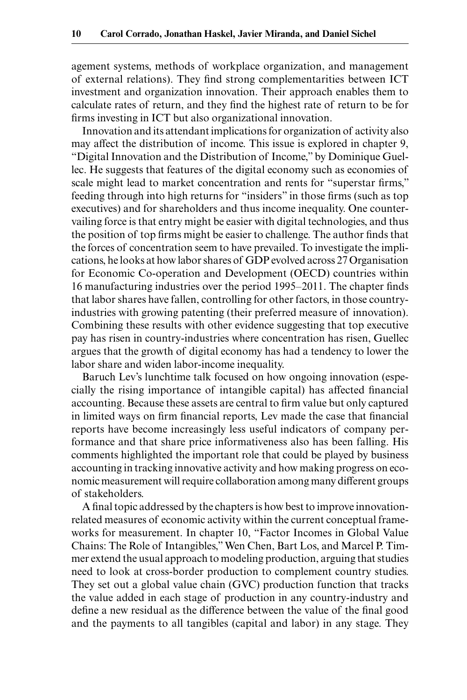agement systems, methods of workplace organization, and management of external relations). They find strong complementarities between ICT investment and organization innovation. Their approach enables them to calculate rates of return, and they find the highest rate of return to be for firms investing in ICT but also organizational innovation.

Innovation and its attendant implications for organization of activity also may affect the distribution of income. This issue is explored in chapter 9, "Digital Innovation and the Distribution of Income," by Dominique Guellec. He suggests that features of the digital economy such as economies of scale might lead to market concentration and rents for "superstar firms," feeding through into high returns for "insiders" in those firms (such as top executives) and for shareholders and thus income inequality. One countervailing force is that entry might be easier with digital technologies, and thus the position of top firms might be easier to challenge. The author finds that the forces of concentration seem to have prevailed. To investigate the implications, he looks at how labor shares of GDP evolved across 27 Organisation for Economic Co-operation and Development (OECD) countries within 16 manufacturing industries over the period 1995–2011. The chapter finds that labor shares have fallen, controlling for other factors, in those countryindustries with growing patenting (their preferred measure of innovation). Combining these results with other evidence suggesting that top executive pay has risen in country-industries where concentration has risen, Guellec argues that the growth of digital economy has had a tendency to lower the labor share and widen labor-income inequality.

Baruch Lev's lunchtime talk focused on how ongoing innovation (especially the rising importance of intangible capital) has affected financial accounting. Because these assets are central to firm value but only captured in limited ways on firm financial reports, Lev made the case that financial reports have become increasingly less useful indicators of company performance and that share price informativeness also has been falling. His comments highlighted the important role that could be played by business accounting in tracking innovative activity and how making progress on economic measurement will require collaboration among many different groups of stakeholders.

A final topic addressed by the chapters is how best to improve innovationrelated measures of economic activity within the current conceptual frameworks for measurement. In chapter 10, "Factor Incomes in Global Value Chains: The Role of Intangibles," Wen Chen, Bart Los, and Marcel P. Timmer extend the usual approach to modeling production, arguing that studies need to look at cross-border production to complement country studies. They set out a global value chain (GVC) production function that tracks the value added in each stage of production in any country- industry and define a new residual as the difference between the value of the final good and the payments to all tangibles (capital and labor) in any stage. They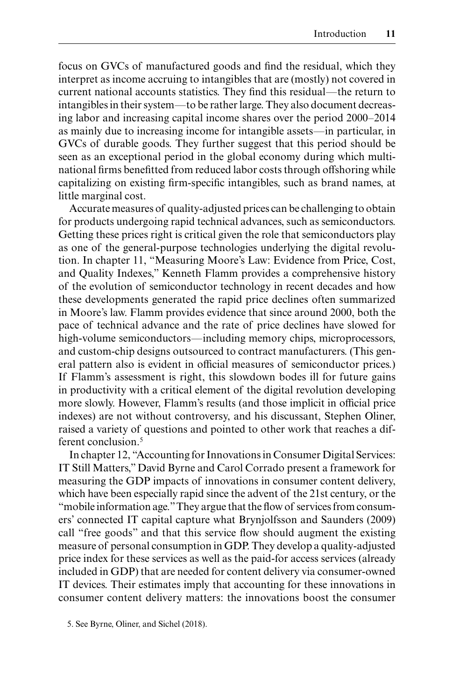focus on GVCs of manufactured goods and find the residual, which they interpret as income accruing to intangibles that are (mostly) not covered in current national accounts statistics. They find this residual—the return to intangibles in their system—to be rather large. They also document decreasing labor and increasing capital income shares over the period 2000–2014 as mainly due to increasing income for intangible assets—in particular, in GVCs of durable goods. They further suggest that this period should be seen as an exceptional period in the global economy during which multinational firms benefitted from reduced labor costs through offshoring while capitalizing on existing firm- specific intangibles, such as brand names, at little marginal cost.

Accurate measures of quality- adjusted prices can be challenging to obtain for products undergoing rapid technical advances, such as semiconductors. Getting these prices right is critical given the role that semiconductors play as one of the general-purpose technologies underlying the digital revolution. In chapter 11, "Measuring Moore's Law: Evidence from Price, Cost, and Quality Indexes," Kenneth Flamm provides a comprehensive history of the evolution of semiconductor technology in recent decades and how these developments generated the rapid price declines often summarized in Moore's law. Flamm provides evidence that since around 2000, both the pace of technical advance and the rate of price declines have slowed for high- volume semiconductors—including memory chips, microprocessors, and custom- chip designs outsourced to contract manufacturers. (This general pattern also is evident in official measures of semiconductor prices.) If Flamm's assessment is right, this slowdown bodes ill for future gains in productivity with a critical element of the digital revolution developing more slowly. However, Flamm's results (and those implicit in official price indexes) are not without controversy, and his discussant, Stephen Oliner, raised a variety of questions and pointed to other work that reaches a different conclusion.5

In chapter 12, "Accounting for Innovations in Consumer Digital Services: IT Still Matters," David Byrne and Carol Corrado present a framework for measuring the GDP impacts of innovations in consumer content delivery, which have been especially rapid since the advent of the 21st century, or the "mobile information age." They argue that the flow of services from consumers' connected IT capital capture what Brynjolfsson and Saunders (2009) call "free goods" and that this service flow should augment the existing measure of personal consumption in GDP. They develop a quality- adjusted price index for these services as well as the paid- for access services (already included in GDP) that are needed for content delivery via consumer- owned IT devices. Their estimates imply that accounting for these innovations in consumer content delivery matters: the innovations boost the consumer

<sup>5.</sup> See Byrne, Oliner, and Sichel (2018).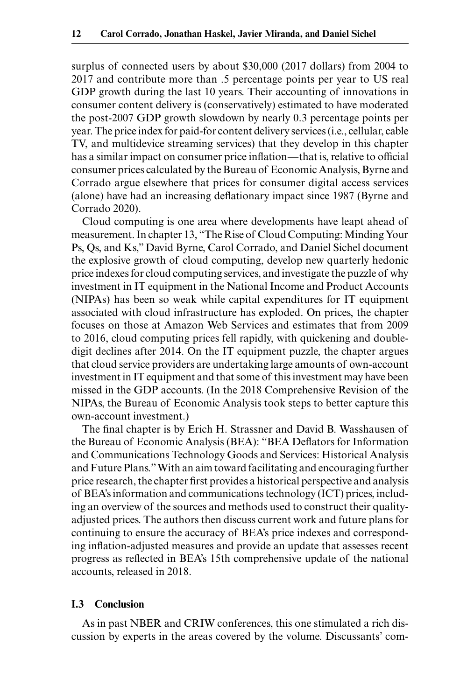surplus of connected users by about \$30,000 (2017 dollars) from 2004 to 2017 and contribute more than .5 percentage points per year to US real GDP growth during the last 10 years. Their accounting of innovations in consumer content delivery is (conservatively) estimated to have moderated the post- 2007 GDP growth slowdown by nearly 0.3 percentage points per year. The price index for paid- for content delivery services (i.e., cellular, cable TV, and multidevice streaming services) that they develop in this chapter has a similar impact on consumer price inflation—that is, relative to official consumer prices calculated by the Bureau of Economic Analysis, Byrne and Corrado argue elsewhere that prices for consumer digital access services (alone) have had an increasing deflationary impact since 1987 (Byrne and Corrado 2020).

Cloud computing is one area where developments have leapt ahead of measurement. In chapter 13, "The Rise of Cloud Computing: Minding Your Ps, Qs, and Ks," David Byrne, Carol Corrado, and Daniel Sichel document the explosive growth of cloud computing, develop new quarterly hedonic price indexes for cloud computing services, and investigate the puzzle of why investment in IT equipment in the National Income and Product Accounts (NIPAs) has been so weak while capital expenditures for IT equipment associated with cloud infrastructure has exploded. On prices, the chapter focuses on those at Amazon Web Services and estimates that from 2009 to 2016, cloud computing prices fell rapidly, with quickening and doubledigit declines after 2014. On the IT equipment puzzle, the chapter argues that cloud service providers are undertaking large amounts of own- account investment in IT equipment and that some of this investment may have been missed in the GDP accounts. (In the 2018 Comprehensive Revision of the NIPAs, the Bureau of Economic Analysis took steps to better capture this own- account investment.)

The final chapter is by Erich H. Strassner and David B. Wasshausen of the Bureau of Economic Analysis (BEA): "BEA Deflators for Information and Communications Technology Goods and Services: Historical Analysis and Future Plans." With an aim toward facilitating and encouraging further price research, the chapter first provides a historical perspective and analysis of BEA's information and communications technology (ICT) prices, including an overview of the sources and methods used to construct their qualityadjusted prices. The authors then discuss current work and future plans for continuing to ensure the accuracy of BEA's price indexes and corresponding inflation- adjusted measures and provide an update that assesses recent progress as reflected in BEA's 15th comprehensive update of the national accounts, released in 2018.

### **I.3 Conclusion**

As in past NBER and CRIW conferences, this one stimulated a rich discussion by experts in the areas covered by the volume. Discussants' com-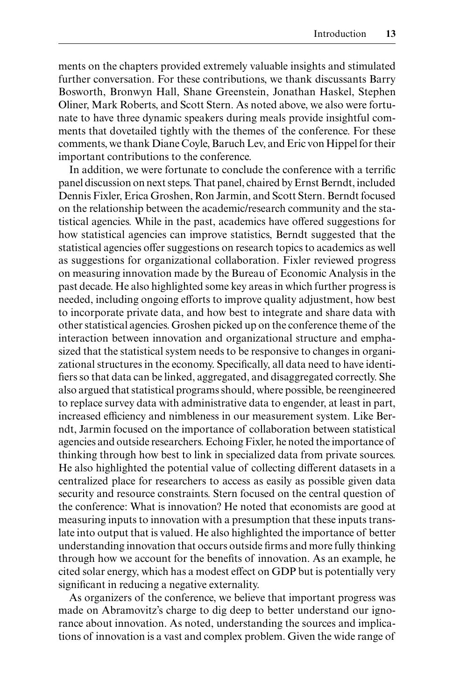ments on the chapters provided extremely valuable insights and stimulated further conversation. For these contributions, we thank discussants Barry Bosworth, Bronwyn Hall, Shane Greenstein, Jonathan Haskel, Stephen Oliner, Mark Roberts, and Scott Stern. As noted above, we also were fortunate to have three dynamic speakers during meals provide insightful comments that dovetailed tightly with the themes of the conference. For these comments, we thank Diane Coyle, Baruch Lev, and Eric von Hippel for their important contributions to the conference.

In addition, we were fortunate to conclude the conference with a terrific panel discussion on next steps. That panel, chaired by Ernst Berndt, included Dennis Fixler, Erica Groshen, Ron Jarmin, and Scott Stern. Berndt focused on the relationship between the academic/research community and the statistical agencies. While in the past, academics have offered suggestions for how statistical agencies can improve statistics, Berndt suggested that the statistical agencies offer suggestions on research topics to academics as well as suggestions for organizational collaboration. Fixler reviewed progress on measuring innovation made by the Bureau of Economic Analysis in the past decade. He also highlighted some key areas in which further progress is needed, including ongoing efforts to improve quality adjustment, how best to incorporate private data, and how best to integrate and share data with other statistical agencies. Groshen picked up on the conference theme of the interaction between innovation and organizational structure and emphasized that the statistical system needs to be responsive to changes in organizational structures in the economy. Specifically, all data need to have identifiers so that data can be linked, aggregated, and disaggregated correctly. She also argued that statistical programs should, where possible, be reengineered to replace survey data with administrative data to engender, at least in part, increased efficiency and nimbleness in our measurement system. Like Berndt, Jarmin focused on the importance of collaboration between statistical agencies and outside researchers. Echoing Fixler, he noted the importance of thinking through how best to link in specialized data from private sources. He also highlighted the potential value of collecting different datasets in a centralized place for researchers to access as easily as possible given data security and resource constraints. Stern focused on the central question of the conference: What is innovation? He noted that economists are good at measuring inputs to innovation with a presumption that these inputs translate into output that is valued. He also highlighted the importance of better understanding innovation that occurs outside firms and more fully thinking through how we account for the benefits of innovation. As an example, he cited solar energy, which has a modest effect on GDP but is potentially very significant in reducing a negative externality.

As organizers of the conference, we believe that important progress was made on Abramovitz's charge to dig deep to better understand our ignorance about innovation. As noted, understanding the sources and implications of innovation is a vast and complex problem. Given the wide range of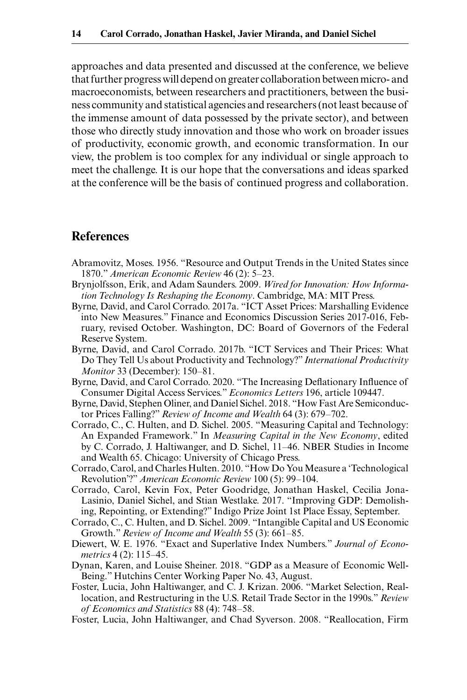approaches and data presented and discussed at the conference, we believe that further progress will depend on greater collaboration between micro- and macroeconomists, between researchers and practitioners, between the business community and statistical agencies and researchers (not least because of the immense amount of data possessed by the private sector), and between those who directly study innovation and those who work on broader issues of productivity, economic growth, and economic transformation. In our view, the problem is too complex for any individual or single approach to meet the challenge. It is our hope that the conversations and ideas sparked at the conference will be the basis of continued progress and collaboration.

## **References**

- Abramovitz, Moses. 1956. "Resource and Output Trends in the United States since 1870." *American Economic Review* 46 (2): 5–23.
- Brynjolfsson, Erik, and Adam Saunders. 2009. *Wired for Innovation: How Information Technology Is Reshaping the Economy*. Cambridge, MA: MIT Press.
- Byrne, David, and Carol Corrado. 2017a. "ICT Asset Prices: Marshalling Evidence into New Measures." Finance and Economics Discussion Series 2017-016, February, revised October. Washington, DC: Board of Governors of the Federal Reserve System.
- Byrne, David, and Carol Corrado. 2017b. "ICT Services and Their Prices: What Do They Tell Us about Productivity and Technology?" *International Productivity Monitor* 33 (December): 150–81.
- Byrne, David, and Carol Corrado. 2020. "The Increasing Deflationary Influence of Consumer Digital Access Services." *Economics Letters* 196, article 109447.
- Byrne, David, Stephen Oliner, and Daniel Sichel. 2018. "How Fast Are Semiconductor Prices Falling?" *Review of Income and Wealth* 64 (3): 679–702.
- Corrado, C., C. Hulten, and D. Sichel. 2005. "Measuring Capital and Technology: An Expanded Framework." In *Measuring Capital in the New Economy*, edited by C. Corrado, J. Haltiwanger, and D. Sichel, 11–46. NBER Studies in Income and Wealth 65. Chicago: University of Chicago Press.
- Corrado, Carol, and Charles Hulten. 2010. "How Do You Measure a 'Technological Revolution'?" *American Economic Review* 100 (5): 99–104.
- Corrado, Carol, Kevin Fox, Peter Goodridge, Jonathan Haskel, Cecilia Jona-Lasinio, Daniel Sichel, and Stian Westlake. 2017. "Improving GDP: Demolishing, Repointing, or Extending?" Indigo Prize Joint 1st Place Essay, September.
- Corrado, C., C. Hulten, and D. Sichel. 2009. "Intangible Capital and US Economic Growth." *Review of Income and Wealth* 55 (3): 661–85.
- Diewert, W. E. 1976. "Exact and Superlative Index Numbers." *Journal of Econometrics* 4 (2): 115–45.
- Dynan, Karen, and Louise Sheiner. 2018. "GDP as a Measure of Economic Well-Being." Hutchins Center Working Paper No. 43, August.
- Foster, Lucia, John Haltiwanger, and C. J. Krizan. 2006. "Market Selection, Reallocation, and Restructuring in the U.S. Retail Trade Sector in the 1990s." *Review of Economics and Statistics* 88 (4): 748–58.
- Foster, Lucia, John Haltiwanger, and Chad Syverson. 2008. "Reallocation, Firm